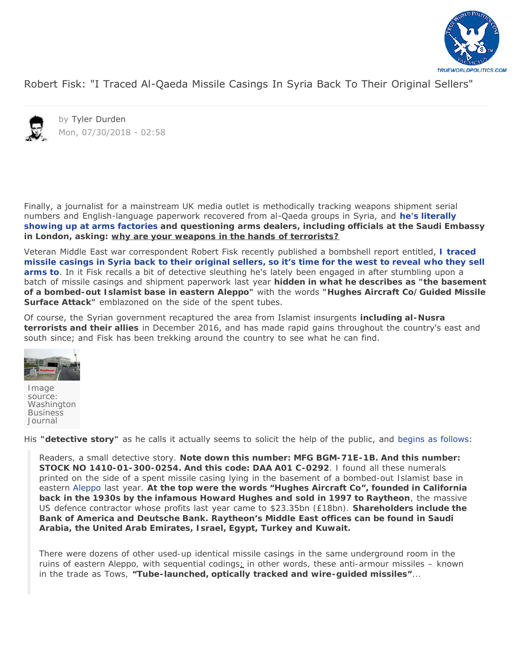

[Robert Fisk: "I Traced Al-Qaeda Missile Casings In Syria Back To Their Original Sellers"](https://www.zerohedge.com/news/2018-07-28/robert-fisk-i-traced-missile-casings-syria-back-their-original-sellers)



by [Tyler Durden](https://www.zerohedge.com/users/tyler-durden) Mon, 07/30/2018 - 02:58

Finally, a journalist for a mainstream UK media outlet is methodically tracking weapons shipment serial numbers and English-language paperwork recovered from al-Qaeda groups in Syria, and **[he's literally](https://www.independent.co.uk/voices/syria-war-bosnia-saudi-arabia-aleppo-weapons-arms-deals-a8451841.html) [showing up at arms factories](https://www.independent.co.uk/voices/syria-war-bosnia-saudi-arabia-aleppo-weapons-arms-deals-a8451841.html) and questioning arms dealers, including officials at the Saudi Embassy in London, asking:** *why are your weapons in the hands of terrorists?*

Veteran Middle East war correspondent Robert Fisk recently published a bombshell report entitled, *[I traced](https://www.independent.co.uk/voices/syria-missile-arms-deals-west-us-uk-saudi-arabia-a8459731.html) [missile casings in Syria back to their original sellers, so it's time for the west to reveal who they sell](https://www.independent.co.uk/voices/syria-missile-arms-deals-west-us-uk-saudi-arabia-a8459731.html) [arms to](https://www.independent.co.uk/voices/syria-missile-arms-deals-west-us-uk-saudi-arabia-a8459731.html).* In it Fisk recalls a bit of detective sleuthing he's lately been engaged in after stumbling upon a batch of missile casings and shipment paperwork last year **hidden in what he describes as "the basement of a bombed-out Islamist base in eastern Aleppo"** with the words *"Hughes Aircraft Co/Guided Missile Surface Attack"* emblazoned on the side of the spent tubes.

Of course, the Syrian government recaptured the area from Islamist insurgents **including al-Nusra terrorists and their allies** in December 2016, and has made rapid gains throughout the country's east and south since; and Fisk has been trekking around the country to see what he can find.



*Image source: Washington Business Journal*

His **"detective story"** as he calls it actually seems to solicit the help of the public, and [begins as follows:](https://www.independent.co.uk/voices/syria-missile-arms-deals-west-us-uk-saudi-arabia-a8459731.html)

*Readers, a small detective story. Note down this number: MFG BGM-71E-1B. And this number: STOCK NO 1410-01-300-0254. And this code: DAA A01 C-0292. I found all these numerals printed on the side of a spent missile casing lying in the basement of a bombed-out Islamist base in eastern [Aleppo](https://www.independent.co.uk/topic/aleppo) last year. At the top were the words "Hughes Aircraft Co", founded in California back in the 1930s by the infamous Howard Hughes and sold in 1997 to Raytheon, the massive US defence contractor whose profits last year came to \$23.35bn (£18bn). Shareholders include the Bank of America and Deutsche Bank. Raytheon's Middle East offices can be found in Saudi Arabia, the United Arab Emirates, Israel, Egypt, Turkey and Kuwait.*

*There were dozens of other used-up identical missile casings in the same underground room in the ruins of eastern Aleppo, with sequential codings; in other words, these anti-armour missiles – known in the trade as Tows, "Tube-launched, optically tracked and wire-guided missiles"...*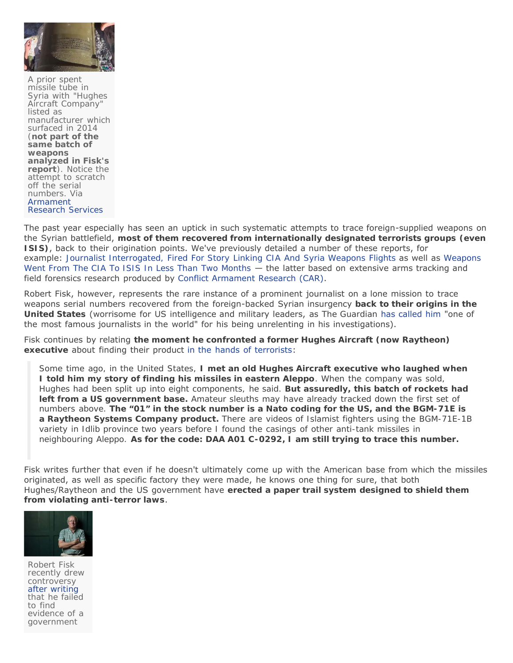

*A prior spent missile tube in Syria with "Hughes Aircraft Company" listed as manufacturer which surfaced in 2014 (not part of the same batch of weapons analyzed in Fisk's report). Notice the attempt to scratch off the serial numbers. Via [Armament](http://armamentresearch.com/us-produced-tow-2a-atgws-in-syria/) [Research Services](http://armamentresearch.com/us-produced-tow-2a-atgws-in-syria/)*

The past year especially has seen an uptick in such systematic attempts to trace foreign-supplied weapons on the Syrian battlefield, **most of them recovered from internationally designated terrorists groups (even ISIS)**, back to their origination points. We've previously detailed a number of these reports, for example: *[Journalist Interrogated, Fired For Story Linking CIA And Syria Weapons Flights](https://www.zerohedge.com/news/2017-08-28/journalist-interrogated-fired-story-linking-cia-and-syria-weapons-flights)* as well as *[Weapons](https://www.zerohedge.com/news/2017-12-15/weapons-went-cia-isis-less-two-months-new-study-reveals) [Went From The CIA To ISIS In Less Than Two Months](https://www.zerohedge.com/news/2017-12-15/weapons-went-cia-isis-less-two-months-new-study-reveals)* — the latter based on extensive arms tracking and field forensics research produced by [Conflict Armament Research](http://www.conflictarm.com/publications/) (CAR).

Robert Fisk, however, represents the rare instance of a prominent journalist on a lone mission to trace weapons serial numbers recovered from the foreign-backed Syrian insurgency **back to their origins in the United States** (worrisome for US intelligence and military leaders, as *The Guardian* [has called him](https://www.theguardian.com/media/2008/apr/13/middleeastthemedia.lebanon) "one of the most famous journalists in the world" for his being unrelenting in his investigations).

Fisk continues by relating **the moment he confronted a former Hughes Aircraft (now Raytheon) executive** about finding their product [in the hands of terrorists](https://www.independent.co.uk/voices/syria-missile-arms-deals-west-us-uk-saudi-arabia-a8459731.html):

*Some time ago, in the United States, I met an old Hughes Aircraft executive who laughed when I told him my story of finding his missiles in eastern Aleppo. When the company was sold, Hughes had been split up into eight components, he said. But assuredly, this batch of rockets had left from a US government base. Amateur sleuths may have already tracked down the first set of numbers above. The "01" in the stock number is a Nato coding for the US, and the BGM-71E is a Raytheon Systems Company product. There are videos of Islamist fighters using the BGM-71E-1B variety in Idlib province two years before I found the casings of other anti-tank missiles in neighbouring Aleppo. As for the code: DAA A01 C-0292, I am still trying to trace this number.*

Fisk writes further that even if he doesn't ultimately come up with the American base from which the missiles originated, as well as specific factory they were made, he knows one thing for sure, that both Hughes/Raytheon and the US government have **erected a paper trail system designed to shield them from violating anti-terror laws**.



*Robert Fisk recently drew controversy [after writing](https://www.zerohedge.com/news/2018-04-17/famed-war-reporter-robert-fisk-reaches-syrian-chemical-attack-site-concludes-they) that he failed to find evidence of a government*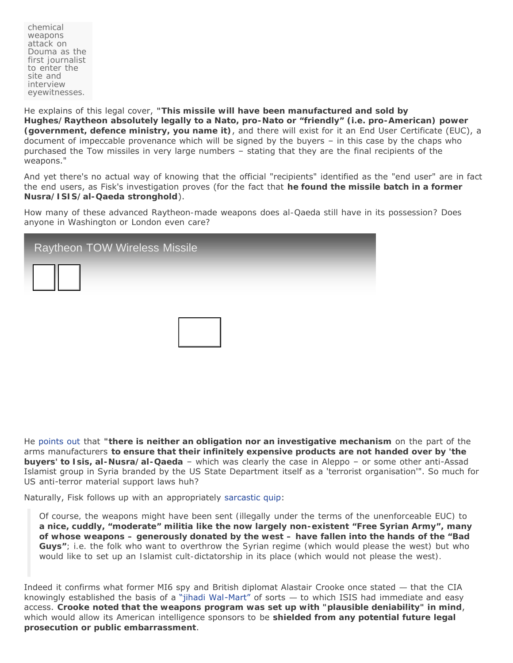*chemical weapons attack on Douma as the first journalist to enter the site and interview eyewitnesses.*

He explains of this legal cover, **"This missile will have been manufactured and sold by Hughes/Raytheon absolutely legally to a Nato, pro-Nato or "friendly" (i.e. pro-American) power (government, defence ministry, you name it)**, and there will exist for it an End User Certificate (EUC), a document of impeccable provenance which will be signed by the buyers – in this case by the chaps who purchased the Tow missiles in very large numbers – stating that they are the final recipients of the weapons."

And yet there's no actual way of knowing that the official "recipients" identified as the "end user" are in fact the end users, as Fisk's investigation proves (for the fact that **he found the missile batch in a former Nusra/ISIS/al-Qaeda stronghold**).

*How many of these advanced Raytheon-made weapons does al-Qaeda still have in its possession? Does anyone in Washington or London even care?*

| <b>Raytheon TOW Wireless Missile</b> |  |
|--------------------------------------|--|
|                                      |  |
|                                      |  |

He [points out](https://www.independent.co.uk/voices/syria-missile-arms-deals-west-us-uk-saudi-arabia-a8459731.html) that **"there is neither an obligation nor an investigative mechanism** on the part of the arms manufacturers *to ensure that their infinitely expensive products are not handed over by 'the buyers' to Isis, al-Nusra/al-Qaeda* – which was clearly the case in Aleppo – or some other anti-Assad Islamist group in Syria branded by the US State Department itself as a 'terrorist organisation'". So much for US anti-terror *material support* laws huh?

Naturally, Fisk follows up with an appropriately [sarcastic](https://www.independent.co.uk/voices/syria-missile-arms-deals-west-us-uk-saudi-arabia-a8459731.html) quip:

*Of course, the weapons might have been sent (illegally under the terms of the unenforceable EUC) to a nice, cuddly, "moderate" militia like the now largely non-existent "Free Syrian Army", many of whose weapons – generously donated by the west – have fallen into the hands of the "Bad Guys"; i.e. the folk who want to overthrow the Syrian regime (which would please the west) but who would like to set up an Islamist cult-dictatorship in its place (which would not please the west).*

Indeed it confirms what former MI6 spy and British diplomat Alastair Crooke once stated *—* that the CIA knowingly established the basis of a ["jihadi Wal-Mart"](http://www.bbc.co.uk/programmes/b06s0qy9) of sorts *—* to which ISIS had immediate and easy access. **Crooke noted that the weapons program was set up with "plausible deniability" in mind**, which would allow its American intelligence sponsors to be **shielded from any potential future legal prosecution or public embarrassment**.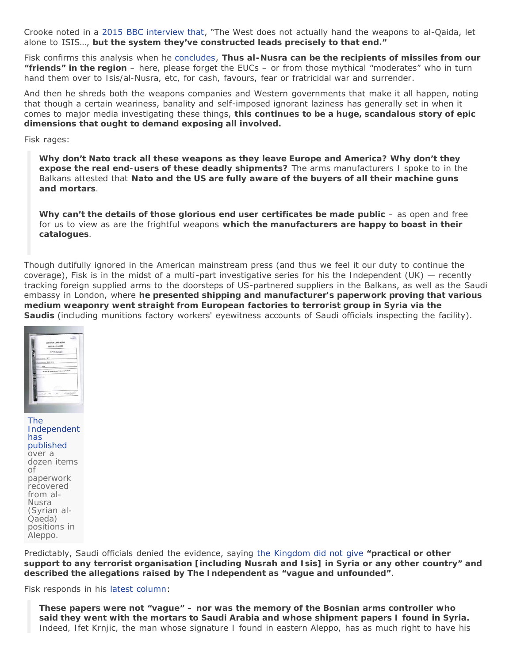Crooke noted in a [2015 BBC interview that](http://www.bbc.co.uk/programmes/b06s0qy9), "The West does not actually hand the weapons to al-Qaida, let alone to ISIS…, *but the system they've constructed leads precisely to that end***."**

Fisk confirms this analysis when he [concludes,](https://www.independent.co.uk/voices/syria-missile-arms-deals-west-us-uk-saudi-arabia-a8459731.html) *Thus al-Nusra can be the recipients of missiles from our "friends" in the region – here, please forget the EUCs – or from those mythical "moderates" who in turn hand them over to Isis/al-Nusra, etc, for cash, favours, fear or fratricidal war and surrender*.

And then he shreds both the weapons companies and Western governments that make it all happen, noting that though a certain weariness, banality and self-imposed ignorant laziness has generally set in when it comes to major media investigating these things, **this continues to be** *a huge, scandalous story of epic dimensions that ought to demand exposing all involved.*

Fisk rages:

*Why don't Nato track all these weapons as they leave Europe and America? Why don't they expose the real end-users of these deadly shipments? The arms manufacturers I spoke to in the Balkans attested that Nato and the US are fully aware of the buyers of all their machine guns and mortars.*

*Why can't the details of those glorious end user certificates be made public* **– as open and free** *for us to view as are the frightful weapons which the manufacturers are happy to boast in their catalogues.*

Though dutifully ignored in the American mainstream press (and thus we feel it our duty to continue the coverage), Fisk is in the midst of a multi-part investigative series for his the *Independent* (UK) *—* recently tracking foreign supplied arms to the doorsteps of US-partnered suppliers in the Balkans, as well as the Saudi embassy in London, where **he presented shipping and manufacturer's paperwork proving that various medium weaponry went straight from European factories to terrorist group in Syria via the Saudis** (including munitions factory workers' eyewitness accounts of Saudi officials inspecting the facility).



*[The](https://www.independent.co.uk/voices/syria-war-bosnia-saudi-arabia-aleppo-weapons-arms-deals-a8451841.html) [Independent](https://www.independent.co.uk/voices/syria-war-bosnia-saudi-arabia-aleppo-weapons-arms-deals-a8451841.html) [has](https://www.independent.co.uk/voices/syria-war-bosnia-saudi-arabia-aleppo-weapons-arms-deals-a8451841.html) [published](https://www.independent.co.uk/voices/syria-war-bosnia-saudi-arabia-aleppo-weapons-arms-deals-a8451841.html) over a dozen items of paperwork recovered from al-Nusra (Syrian al-Qaeda) positions in Aleppo.*

Predictably, Saudi officials denied the evidence, saying *[the Kingdom did not give](https://www.independent.co.uk/voices/syria-war-bosnia-saudi-arabia-aleppo-weapons-arms-deals-a8451841.html) "practical or other support to any terrorist organisation [including Nusrah and Isis] in Syria or any other country" and described the allegations raised by The Independent as "vague and unfounded"*.

Fisk responds in his [latest column:](https://www.independent.co.uk/voices/syria-missile-arms-deals-west-us-uk-saudi-arabia-a8459731.html)

*These papers were not "vague" – nor was the memory of the Bosnian arms controller who said they went with the mortars to Saudi Arabia and whose shipment papers I found in Syria. Indeed, Ifet Krnjic, the man whose signature I found in eastern Aleppo, has as much right to have his*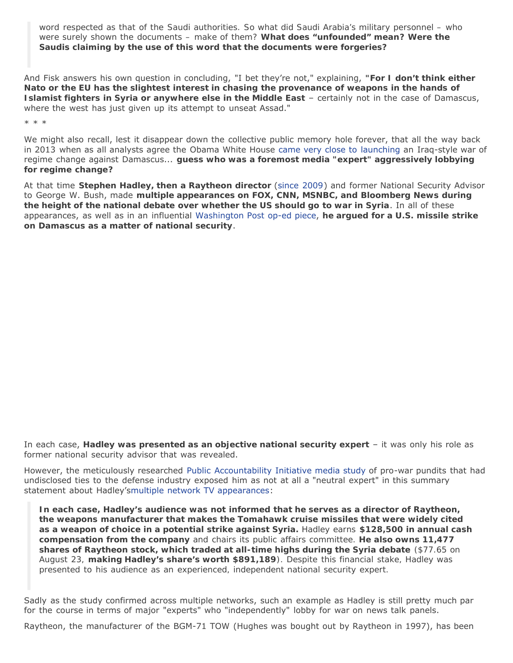*word respected as that of the Saudi authorities. So what did Saudi Arabia's military personnel – who were surely shown the documents – make of them? What does "unfounded" mean? Were the Saudis claiming by the use of this word that the documents were forgeries?*

And Fisk answers his own question in concluding, "I bet they're not," explaining, **"For I don't think either Nato or the EU has the slightest interest in chasing the provenance of weapons in the hands of Islamist fighters in Syria or anywhere else in the Middle East** – certainly not in the case of Damascus, where the west has just given up its attempt to unseat Assad."

\* \* \*

We might also recall, lest it disappear down the collective public memory hole forever, that all the way back in 2013 when as all analysts agree the Obama White House came [very close to launching](https://www.lrb.co.uk/v36/n08/seymour-m-hersh/the-red-line-and-the-rat-line) an Iraq-style war of regime change against Damascus... *guess who was a foremost media "expert" aggressively lobbying for regime change?*

At that time **Stephen Hadley, then a** *Raytheon director* ([since 2009\)](https://www.reuters.com/finance/stocks/company-officers/RTN) and former National Security Advisor to George W. Bush, made **multiple appearances on FOX, CNN, MSNBC, and Bloomberg News during the height of the national debate over whether the US should go to war in Syria**. In all of these appearances, as well as in an influential *[Washington Post](http://articles.washingtonpost.com/2013-09-08/opinions/41881087_1_chemical-weapons-hassan-rouhani-syria)* [op-ed piece,](http://articles.washingtonpost.com/2013-09-08/opinions/41881087_1_chemical-weapons-hassan-rouhani-syria) **he argued for a U.S. missile strike on Damascus as a matter of national security**.

In each case, **Hadley was presented as an objective national security expert** – it was only his role as former national security advisor that was revealed.

However, the meticulously researched [Public Accountability Initiative](https://public-accountability.org/2013/10/conflicts-of-interest-in-the-syria-debate/) [media study](http://public-accountability.org/2013/10/conflicts-of-interest-in-the-syria-debate/) of pro-war pundits that had undisclosed ties to the defense industry exposed him as not at all a "neutral expert" in this summary statement about Hadley'[smultiple network TV appearances:](https://public-accountability.org/2013/10/conflicts-of-interest-in-the-syria-debate/)

*In each case, Hadley's audience was not informed that he serves as a director of Raytheon, the weapons manufacturer that makes the Tomahawk cruise missiles that were widely cited as a weapon of choice in a potential strike against Syria. Hadley earns \$128,500 in annual cash compensation from the company and chairs its public affairs committee. He also owns 11,477 shares of Raytheon stock, which traded at all-time highs during the Syria debate (\$77.65 on August 23, making Hadley's share's worth \$891,189). Despite this financial stake, Hadley was presented to his audience as an experienced, independent national security expert.*

Sadly as the study confirmed across multiple networks, such an example as Hadley is still pretty much par for the course in terms of major "experts" who "independently" lobby for war on news talk panels.

Raytheon, the manufacturer of the BGM-71 TOW (Hughes was bought out by Raytheon in 1997), has been